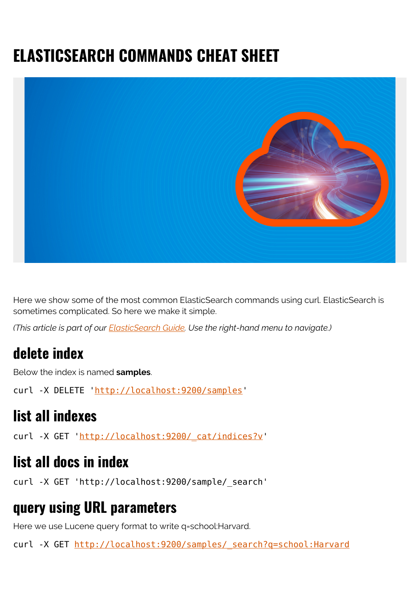# **ELASTICSEARCH COMMANDS CHEAT SHEET**



Here we show some of the most common ElasticSearch commands using curl. ElasticSearch is sometimes complicated. So here we make it simple.

*(This article is part of our [ElasticSearch Guide.](https://blogs.bmc.com/blogs/elasticsearch-introduction/) Use the right-hand menu to navigate.)*

#### **delete index**

Below the index is named **samples**.

curl -X DELETE '[http://localhost:9200/samples](#page--1-0)'

#### **list all indexes**

curl -X GET 'http://localhost:9200/ cat/indices?v'

#### **list all docs in index**

curl -X GET 'http://localhost:9200/sample/\_search'

#### **query using URL parameters**

Here we use Lucene query format to write q=school:Harvard.

curl -X GET http://localhost:9200/samples/ search?q=school:Harvard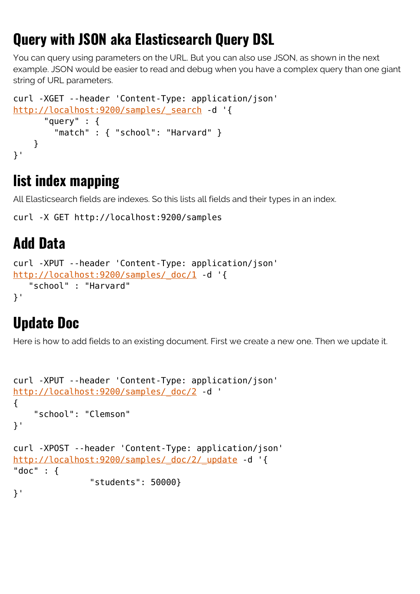## **Query with JSON aka Elasticsearch Query DSL**

You can query using parameters on the URL. But you can also use JSON, as shown in the next example. JSON would be easier to read and debug when you have a complex query than one giant string of URL parameters.

```
curl -XGET --header 'Content-Type: application/json'
http://localhost:9200/samples/ search -d '{
       "query" : {
         "match" : { "school": "Harvard" }
     }
}'
```
## **list index mapping**

All Elasticsearch fields are indexes. So this lists all fields and their types in an index.

```
curl -X GET http://localhost:9200/samples
```
## **Add Data**

```
curl -XPUT --header 'Content-Type: application/json'
http://localhost:9200/samples/ doc/1 -d '{
    "school" : "Harvard"
}'
```
## **Update Doc**

Here is how to add fields to an existing document. First we create a new one. Then we update it.

```
curl -XPUT --header 'Content-Type: application/json'
http://localhost:9200/samples/ doc/2 -d '
{
     "school": "Clemson"
}'
curl -XPOST --header 'Content-Type: application/json'
http://localhost:9200/samples/_doc/2/_update -d '{
"doc" : {
                "students": 50000}
}'
```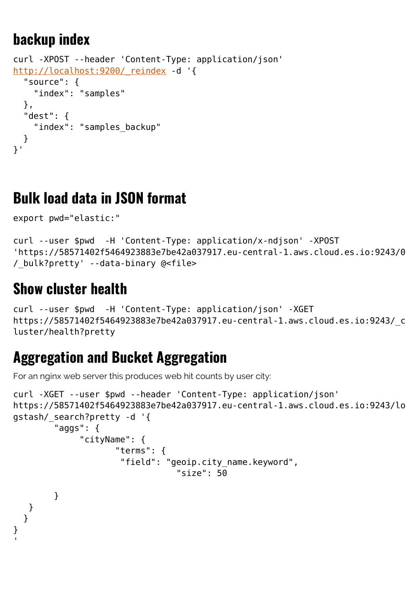### **backup index**

```
curl -XPOST --header 'Content-Type: application/json'
http://localhost:9200/ reindex -d '{
   "source": {
     "index": "samples"
   },
   "dest": {
     "index": "samples_backup"
   }
}'
```
#### **Bulk load data in JSON format**

```
export pwd="elastic:"
```

```
curl --user $pwd -H 'Content-Type: application/x-ndjson' -XPOST
'https://58571402f5464923883e7be42a037917.eu-central-1.aws.cloud.es.io:9243/0
/_bulk?pretty' --data-binary @<file>
```
### **Show cluster health**

```
curl --user $pwd -H 'Content-Type: application/json' -XGET
https://58571402f5464923883e7be42a037917.eu-central-1.aws.cloud.es.io:9243/_c
luster/health?pretty
```
### **Aggregation and Bucket Aggregation**

For an nginx web server this produces web hit counts by user city:

```
curl -XGET --user $pwd --header 'Content-Type: application/json'
https://58571402f5464923883e7be42a037917.eu-central-1.aws.cloud.es.io:9243/lo
gstash/_search?pretty -d '{
         "aggs": {
               "cityName": {
                      "terms": {
                       "field": "geoip.city_name.keyword",
                                   "size": 50
         }
    }
   }
}
'
```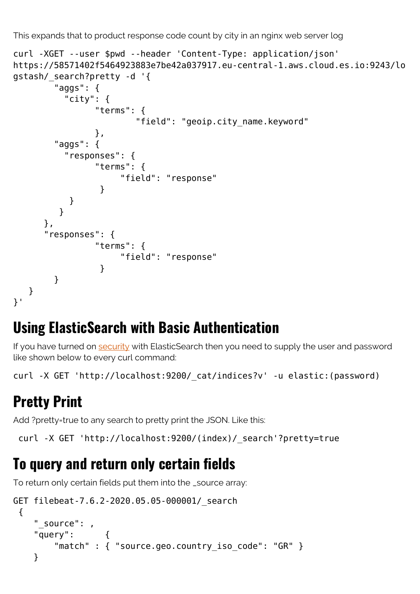This expands that to product response code count by city in an nginx web server log

```
curl -XGET --user $pwd --header 'Content-Type: application/json'
https://58571402f5464923883e7be42a037917.eu-central-1.aws.cloud.es.io:9243/lo
gstash/_search?pretty -d '{
        "aggs": {
          "city": {
                "terms": {
                       "field": "geoip.city_name.keyword"
\},
        "aggs": {
          "responses": {
                "terms": {
                    "field": "response"
 }
 }
 }
      },
      "responses": {
                "terms": {
                    "field": "response"
 }
        }
   }
}'
```
### **Using ElasticSearch with Basic Authentication**

If you have turned on [security](https://blogs.bmc.com/blogs/security-vulnerability-vs-threat-vs-risk-whats-difference/) with ElasticSearch then you need to supply the user and password like shown below to every curl command:

curl -X GET 'http://localhost:9200/\_cat/indices?v' -u elastic:(password)

## **Pretty Print**

Add ?pretty=true to any search to pretty print the JSON. Like this:

curl -X GET 'http://localhost:9200/(index)/\_search'?pretty=true

### **To query and return only certain fields**

To return only certain fields put them into the \_source array:

```
GET filebeat-7.6.2-2020.05.05-000001/_search
  {
     "_source": ,
     "query": {
        "match" : { "source.geo.country iso code": "GR" }
     }
```